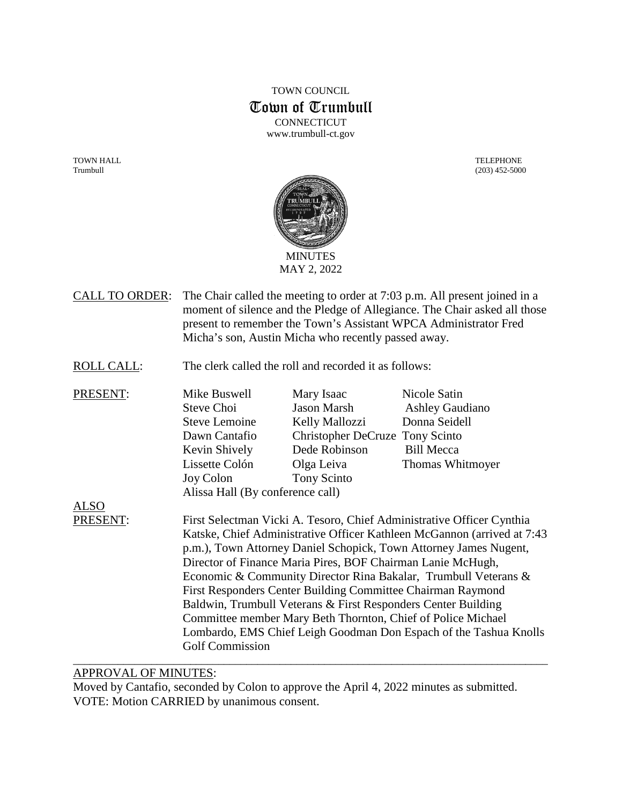# TOWN COUNCIL Town of Trumbull **CONNECTICUT** www.trumbull-ct.gov

TOWN HALL TELEPHONE



- CALL TO ORDER: The Chair called the meeting to order at 7:03 p.m. All present joined in a moment of silence and the Pledge of Allegiance. The Chair asked all those present to remember the Town's Assistant WPCA Administrator Fred Micha's son, Austin Micha who recently passed away.
- ROLL CALL: The clerk called the roll and recorded it as follows:
- PRESENT: Mike Buswell Mary Isaac Nicole Satin Steve Choi Jason Marsh Ashley Gaudiano Steve Lemoine Kelly Mallozzi Donna Seidell Dawn Cantafio Christopher DeCruze Tony Scinto Kevin Shively Dede Robinson Bill Mecca Lissette [Colón](https://linkprotect.cudasvc.com/url?a=https%3a%2f%2fwww.norwalkps.org%2f526573_3%3fpersonID%3d243177&c=E,1,3K4q4WWTM6J_TEDSOg21JlDvlc8lQ_o8VilDGTakN86iHFJCB0p2WhOizanForr3Qp66AKFNDW09ibwhNon-rCTl7K_M-47SQbsdbEryFAGIgPaiCwXGfN9vDHRP&typo=1) Olga Leiva Thomas Whitmoyer Joy Colon Tony Scinto Alissa Hall (By conference call)

ALSO

PRESENT: First Selectman Vicki A. Tesoro, Chief Administrative Officer Cynthia Katske, Chief Administrative Officer Kathleen McGannon (arrived at 7:43 p.m.), Town Attorney Daniel Schopick, Town Attorney James Nugent, Director of Finance Maria Pires, BOF Chairman Lanie McHugh, Economic & Community Director Rina Bakalar, Trumbull Veterans & First Responders Center Building Committee Chairman Raymond Baldwin, Trumbull Veterans & First Responders Center Building Committee member Mary Beth Thornton, Chief of Police Michael Lombardo, EMS Chief Leigh Goodman Don Espach of the Tashua Knolls Golf Commission

\_\_\_\_\_\_\_\_\_\_\_\_\_\_\_\_\_\_\_\_\_\_\_\_\_\_\_\_\_\_\_\_\_\_\_\_\_\_\_\_\_\_\_\_\_\_\_\_\_\_\_\_\_\_\_\_\_\_\_\_\_\_\_\_\_\_\_\_\_\_\_\_\_\_\_\_\_\_\_\_\_\_\_\_\_

# APPROVAL OF MINUTES:

Moved by Cantafio, seconded by Colon to approve the April 4, 2022 minutes as submitted. VOTE: Motion CARRIED by unanimous consent.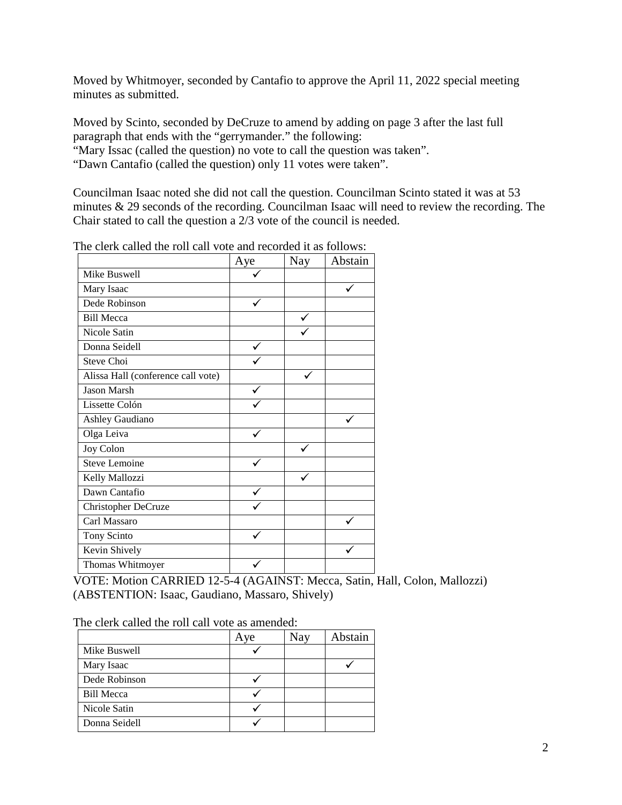Moved by Whitmoyer, seconded by Cantafio to approve the April 11, 2022 special meeting minutes as submitted.

Moved by Scinto, seconded by DeCruze to amend by adding on page 3 after the last full paragraph that ends with the "gerrymander." the following:

"Mary Issac (called the question) no vote to call the question was taken".

"Dawn Cantafio (called the question) only 11 votes were taken".

Councilman Isaac noted she did not call the question. Councilman Scinto stated it was at 53 minutes & 29 seconds of the recording. Councilman Isaac will need to review the recording. The Chair stated to call the question a 2/3 vote of the council is needed.

|                                    | Aye | Nay | Abstain |
|------------------------------------|-----|-----|---------|
| Mike Buswell                       |     |     |         |
| Mary Isaac                         |     |     |         |
| Dede Robinson                      |     |     |         |
| <b>Bill Mecca</b>                  |     |     |         |
| Nicole Satin                       |     |     |         |
| Donna Seidell                      |     |     |         |
| Steve Choi                         |     |     |         |
| Alissa Hall (conference call vote) |     |     |         |
| <b>Jason Marsh</b>                 |     |     |         |
| Lissette Colón                     |     |     |         |
| Ashley Gaudiano                    |     |     |         |
| Olga Leiva                         |     |     |         |
| Joy Colon                          |     |     |         |
| Steve Lemoine                      |     |     |         |
| Kelly Mallozzi                     |     |     |         |
| Dawn Cantafio                      |     |     |         |
| Christopher DeCruze                |     |     |         |
| Carl Massaro                       |     |     |         |
| Tony Scinto                        |     |     |         |
| Kevin Shively                      |     |     |         |
| Thomas Whitmoyer                   |     |     |         |

The clerk called the roll call vote and recorded it as follows:

VOTE: Motion CARRIED 12-5-4 (AGAINST: Mecca, Satin, Hall, Colon, Mallozzi) (ABSTENTION: Isaac, Gaudiano, Massaro, Shively)

The clerk called the roll call vote as amended:

|                   | Ave | Nay | Abstain |
|-------------------|-----|-----|---------|
| Mike Buswell      |     |     |         |
| Mary Isaac        |     |     |         |
| Dede Robinson     |     |     |         |
| <b>Bill Mecca</b> |     |     |         |
| Nicole Satin      |     |     |         |
| Donna Seidell     |     |     |         |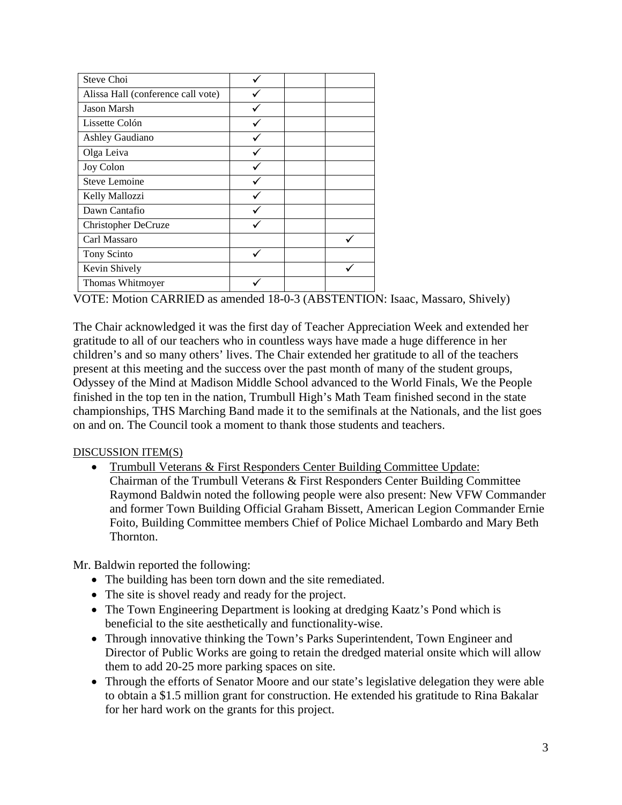| Steve Choi                         |  |
|------------------------------------|--|
| Alissa Hall (conference call vote) |  |
| <b>Jason Marsh</b>                 |  |
| Lissette Colón                     |  |
| Ashley Gaudiano                    |  |
| Olga Leiva                         |  |
| Joy Colon                          |  |
| Steve Lemoine                      |  |
| Kelly Mallozzi                     |  |
| Dawn Cantafio                      |  |
| Christopher DeCruze                |  |
| Carl Massaro                       |  |
| Tony Scinto                        |  |
| Kevin Shively                      |  |
| Thomas Whitmoyer                   |  |

VOTE: Motion CARRIED as amended 18-0-3 (ABSTENTION: Isaac, Massaro, Shively)

The Chair acknowledged it was the first day of Teacher Appreciation Week and extended her gratitude to all of our teachers who in countless ways have made a huge difference in her children's and so many others' lives. The Chair extended her gratitude to all of the teachers present at this meeting and the success over the past month of many of the student groups, Odyssey of the Mind at Madison Middle School advanced to the World Finals, We the People finished in the top ten in the nation, Trumbull High's Math Team finished second in the state championships, THS Marching Band made it to the semifinals at the Nationals, and the list goes on and on. The Council took a moment to thank those students and teachers.

# DISCUSSION ITEM(S)

• Trumbull Veterans & First Responders Center Building Committee Update: Chairman of the Trumbull Veterans & First Responders Center Building Committee Raymond Baldwin noted the following people were also present: New VFW Commander and former Town Building Official Graham Bissett, American Legion Commander Ernie Foito, Building Committee members Chief of Police Michael Lombardo and Mary Beth Thornton.

Mr. Baldwin reported the following:

- The building has been torn down and the site remediated.
- The site is shovel ready and ready for the project.
- The Town Engineering Department is looking at dredging Kaatz's Pond which is beneficial to the site aesthetically and functionality-wise.
- Through innovative thinking the Town's Parks Superintendent, Town Engineer and Director of Public Works are going to retain the dredged material onsite which will allow them to add 20-25 more parking spaces on site.
- Through the efforts of Senator Moore and our state's legislative delegation they were able to obtain a \$1.5 million grant for construction. He extended his gratitude to Rina Bakalar for her hard work on the grants for this project.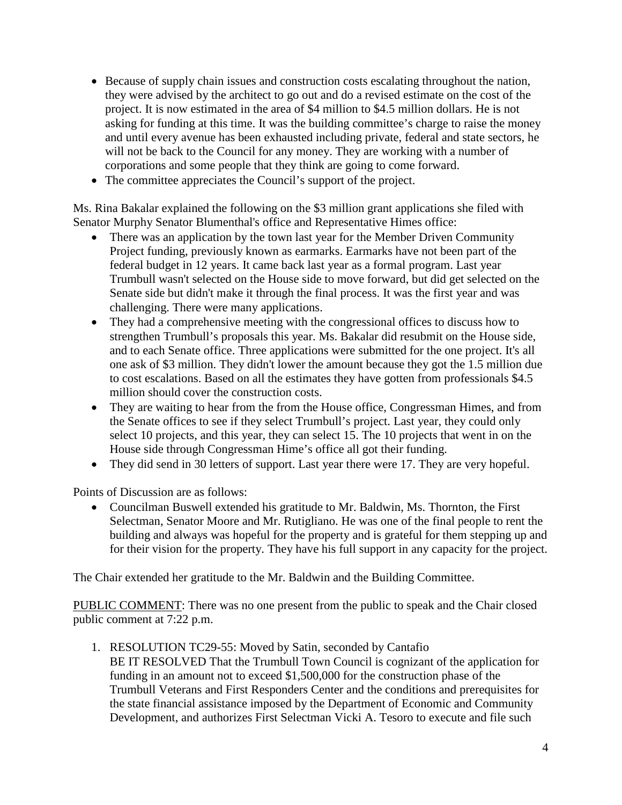- Because of supply chain issues and construction costs escalating throughout the nation, they were advised by the architect to go out and do a revised estimate on the cost of the project. It is now estimated in the area of \$4 million to \$4.5 million dollars. He is not asking for funding at this time. It was the building committee's charge to raise the money and until every avenue has been exhausted including private, federal and state sectors, he will not be back to the Council for any money. They are working with a number of corporations and some people that they think are going to come forward.
- The committee appreciates the Council's support of the project.

Ms. Rina Bakalar explained the following on the \$3 million grant applications she filed with Senator Murphy Senator Blumenthal's office and Representative Himes office:

- There was an application by the town last year for the Member Driven Community Project funding, previously known as earmarks. Earmarks have not been part of the federal budget in 12 years. It came back last year as a formal program. Last year Trumbull wasn't selected on the House side to move forward, but did get selected on the Senate side but didn't make it through the final process. It was the first year and was challenging. There were many applications.
- They had a comprehensive meeting with the congressional offices to discuss how to strengthen Trumbull's proposals this year. Ms. Bakalar did resubmit on the House side, and to each Senate office. Three applications were submitted for the one project. It's all one ask of \$3 million. They didn't lower the amount because they got the 1.5 million due to cost escalations. Based on all the estimates they have gotten from professionals \$4.5 million should cover the construction costs.
- They are waiting to hear from the from the House office, Congressman Himes, and from the Senate offices to see if they select Trumbull's project. Last year, they could only select 10 projects, and this year, they can select 15. The 10 projects that went in on the House side through Congressman Hime's office all got their funding.
- They did send in 30 letters of support. Last year there were 17. They are very hopeful.

Points of Discussion are as follows:

• Councilman Buswell extended his gratitude to Mr. Baldwin, Ms. Thornton, the First Selectman, Senator Moore and Mr. Rutigliano. He was one of the final people to rent the building and always was hopeful for the property and is grateful for them stepping up and for their vision for the property. They have his full support in any capacity for the project.

The Chair extended her gratitude to the Mr. Baldwin and the Building Committee.

PUBLIC COMMENT: There was no one present from the public to speak and the Chair closed public comment at 7:22 p.m.

1. RESOLUTION TC29-55: Moved by Satin, seconded by Cantafio BE IT RESOLVED That the Trumbull Town Council is cognizant of the application for funding in an amount not to exceed \$1,500,000 for the construction phase of the Trumbull Veterans and First Responders Center and the conditions and prerequisites for the state financial assistance imposed by the Department of Economic and Community Development, and authorizes First Selectman Vicki A. Tesoro to execute and file such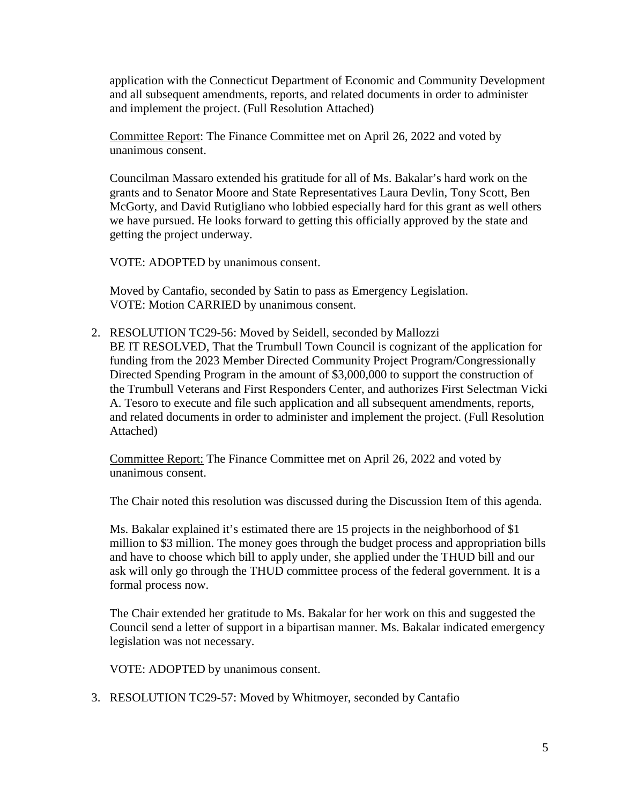application with the Connecticut Department of Economic and Community Development and all subsequent amendments, reports, and related documents in order to administer and implement the project. (Full Resolution Attached)

Committee Report: The Finance Committee met on April 26, 2022 and voted by unanimous consent.

Councilman Massaro extended his gratitude for all of Ms. Bakalar's hard work on the grants and to Senator Moore and State Representatives Laura Devlin, Tony Scott, Ben McGorty, and David Rutigliano who lobbied especially hard for this grant as well others we have pursued. He looks forward to getting this officially approved by the state and getting the project underway.

VOTE: ADOPTED by unanimous consent.

Moved by Cantafio, seconded by Satin to pass as Emergency Legislation. VOTE: Motion CARRIED by unanimous consent.

2. RESOLUTION TC29-56: Moved by Seidell, seconded by Mallozzi BE IT RESOLVED, That the Trumbull Town Council is cognizant of the application for funding from the 2023 Member Directed Community Project Program/Congressionally Directed Spending Program in the amount of \$3,000,000 to support the construction of the Trumbull Veterans and First Responders Center, and authorizes First Selectman Vicki A. Tesoro to execute and file such application and all subsequent amendments, reports, and related documents in order to administer and implement the project. (Full Resolution Attached)

Committee Report: The Finance Committee met on April 26, 2022 and voted by unanimous consent.

The Chair noted this resolution was discussed during the Discussion Item of this agenda.

Ms. Bakalar explained it's estimated there are 15 projects in the neighborhood of \$1 million to \$3 million. The money goes through the budget process and appropriation bills and have to choose which bill to apply under, she applied under the THUD bill and our ask will only go through the THUD committee process of the federal government. It is a formal process now.

The Chair extended her gratitude to Ms. Bakalar for her work on this and suggested the Council send a letter of support in a bipartisan manner. Ms. Bakalar indicated emergency legislation was not necessary.

VOTE: ADOPTED by unanimous consent.

3. RESOLUTION TC29-57: Moved by Whitmoyer, seconded by Cantafio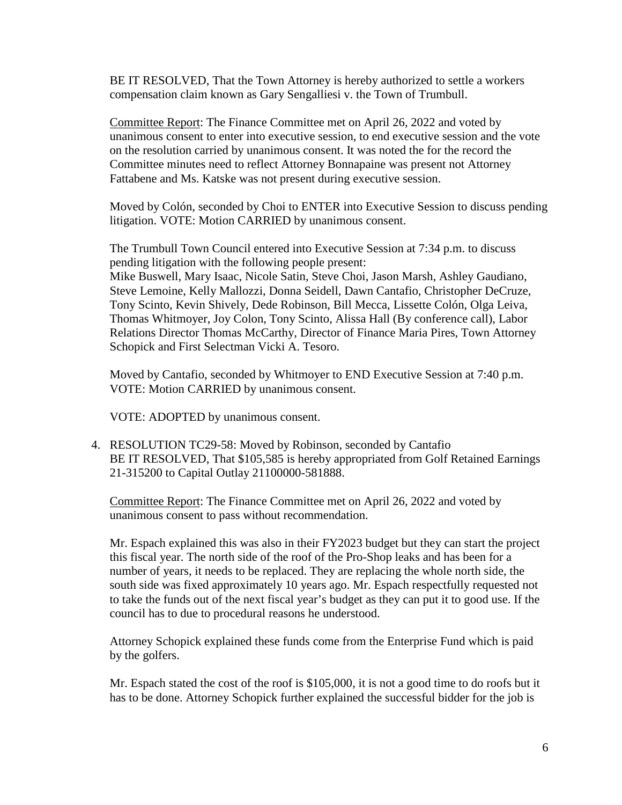BE IT RESOLVED, That the Town Attorney is hereby authorized to settle a workers compensation claim known as Gary Sengalliesi v. the Town of Trumbull.

Committee Report: The Finance Committee met on April 26, 2022 and voted by unanimous consent to enter into executive session, to end executive session and the vote on the resolution carried by unanimous consent. It was noted the for the record the Committee minutes need to reflect Attorney Bonnapaine was present not Attorney Fattabene and Ms. Katske was not present during executive session.

Moved by [Colón,](https://linkprotect.cudasvc.com/url?a=https%3a%2f%2fwww.norwalkps.org%2f526573_3%3fpersonID%3d243177&c=E,1,3K4q4WWTM6J_TEDSOg21JlDvlc8lQ_o8VilDGTakN86iHFJCB0p2WhOizanForr3Qp66AKFNDW09ibwhNon-rCTl7K_M-47SQbsdbEryFAGIgPaiCwXGfN9vDHRP&typo=1) seconded by Choi to ENTER into Executive Session to discuss pending litigation. VOTE: Motion CARRIED by unanimous consent.

The Trumbull Town Council entered into Executive Session at 7:34 p.m. to discuss pending litigation with the following people present:

Mike Buswell, Mary Isaac, Nicole Satin, Steve Choi, Jason Marsh, Ashley Gaudiano, Steve Lemoine, Kelly Mallozzi, Donna Seidell, Dawn Cantafio, Christopher DeCruze, Tony Scinto, Kevin Shively, Dede Robinson, Bill Mecca, Lissette [Colón,](https://linkprotect.cudasvc.com/url?a=https%3a%2f%2fwww.norwalkps.org%2f526573_3%3fpersonID%3d243177&c=E,1,3K4q4WWTM6J_TEDSOg21JlDvlc8lQ_o8VilDGTakN86iHFJCB0p2WhOizanForr3Qp66AKFNDW09ibwhNon-rCTl7K_M-47SQbsdbEryFAGIgPaiCwXGfN9vDHRP&typo=1) Olga Leiva, Thomas Whitmoyer, Joy Colon, Tony Scinto, Alissa Hall (By conference call), Labor Relations Director Thomas McCarthy, Director of Finance Maria Pires, Town Attorney Schopick and First Selectman Vicki A. Tesoro.

Moved by Cantafio, seconded by Whitmoyer to END Executive Session at 7:40 p.m. VOTE: Motion CARRIED by unanimous consent.

VOTE: ADOPTED by unanimous consent.

4. RESOLUTION TC29-58: Moved by Robinson, seconded by Cantafio BE IT RESOLVED, That \$105,585 is hereby appropriated from Golf Retained Earnings 21-315200 to Capital Outlay 21100000-581888.

Committee Report: The Finance Committee met on April 26, 2022 and voted by unanimous consent to pass without recommendation.

Mr. Espach explained this was also in their FY2023 budget but they can start the project this fiscal year. The north side of the roof of the Pro-Shop leaks and has been for a number of years, it needs to be replaced. They are replacing the whole north side, the south side was fixed approximately 10 years ago. Mr. Espach respectfully requested not to take the funds out of the next fiscal year's budget as they can put it to good use. If the council has to due to procedural reasons he understood.

Attorney Schopick explained these funds come from the Enterprise Fund which is paid by the golfers.

Mr. Espach stated the cost of the roof is \$105,000, it is not a good time to do roofs but it has to be done. Attorney Schopick further explained the successful bidder for the job is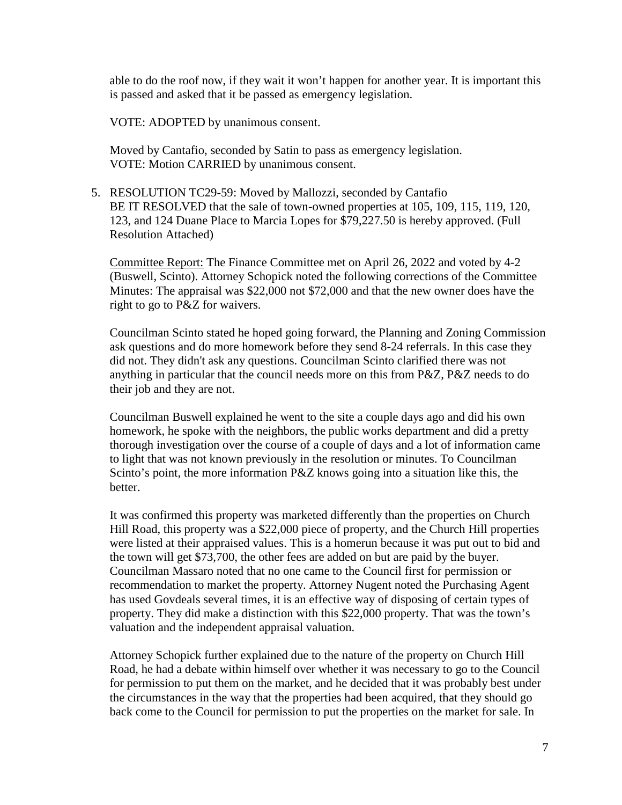able to do the roof now, if they wait it won't happen for another year. It is important this is passed and asked that it be passed as emergency legislation.

VOTE: ADOPTED by unanimous consent.

Moved by Cantafio, seconded by Satin to pass as emergency legislation. VOTE: Motion CARRIED by unanimous consent.

5. RESOLUTION TC29-59: Moved by Mallozzi, seconded by Cantafio BE IT RESOLVED that the sale of town-owned properties at 105, 109, 115, 119, 120, 123, and 124 Duane Place to Marcia Lopes for \$79,227.50 is hereby approved. (Full Resolution Attached)

Committee Report: The Finance Committee met on April 26, 2022 and voted by 4-2 (Buswell, Scinto). Attorney Schopick noted the following corrections of the Committee Minutes: The appraisal was \$22,000 not \$72,000 and that the new owner does have the right to go to P&Z for waivers.

Councilman Scinto stated he hoped going forward, the Planning and Zoning Commission ask questions and do more homework before they send 8-24 referrals. In this case they did not. They didn't ask any questions. Councilman Scinto clarified there was not anything in particular that the council needs more on this from P&Z, P&Z needs to do their job and they are not.

Councilman Buswell explained he went to the site a couple days ago and did his own homework, he spoke with the neighbors, the public works department and did a pretty thorough investigation over the course of a couple of days and a lot of information came to light that was not known previously in the resolution or minutes. To Councilman Scinto's point, the more information P&Z knows going into a situation like this, the better.

It was confirmed this property was marketed differently than the properties on Church Hill Road, this property was a \$22,000 piece of property, and the Church Hill properties were listed at their appraised values. This is a homerun because it was put out to bid and the town will get \$73,700, the other fees are added on but are paid by the buyer. Councilman Massaro noted that no one came to the Council first for permission or recommendation to market the property. Attorney Nugent noted the Purchasing Agent has used Govdeals several times, it is an effective way of disposing of certain types of property. They did make a distinction with this \$22,000 property. That was the town's valuation and the independent appraisal valuation.

Attorney Schopick further explained due to the nature of the property on Church Hill Road, he had a debate within himself over whether it was necessary to go to the Council for permission to put them on the market, and he decided that it was probably best under the circumstances in the way that the properties had been acquired, that they should go back come to the Council for permission to put the properties on the market for sale. In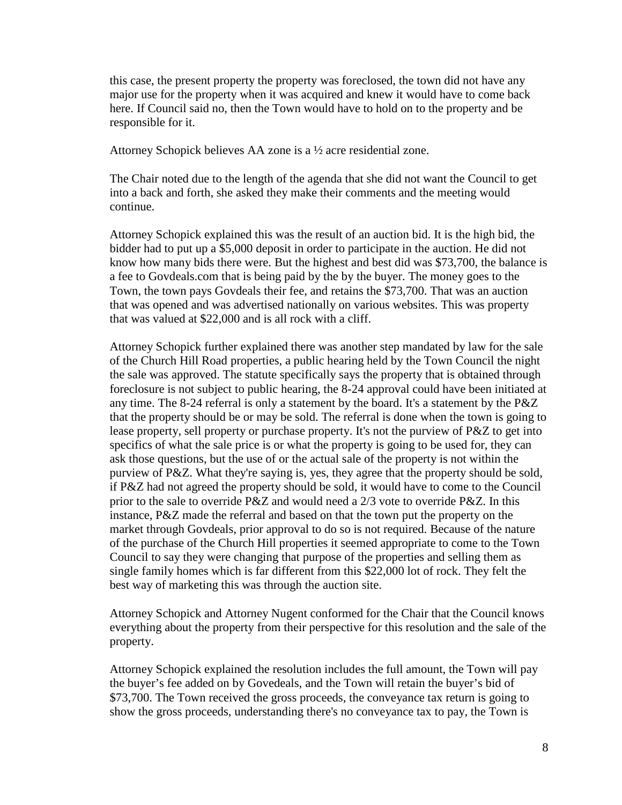this case, the present property the property was foreclosed, the town did not have any major use for the property when it was acquired and knew it would have to come back here. If Council said no, then the Town would have to hold on to the property and be responsible for it.

Attorney Schopick believes AA zone is a ½ acre residential zone.

The Chair noted due to the length of the agenda that she did not want the Council to get into a back and forth, she asked they make their comments and the meeting would continue.

Attorney Schopick explained this was the result of an auction bid. It is the high bid, the bidder had to put up a \$5,000 deposit in order to participate in the auction. He did not know how many bids there were. But the highest and best did was \$73,700, the balance is a fee to Govdeals.com that is being paid by the by the buyer. The money goes to the Town, the town pays Govdeals their fee, and retains the \$73,700. That was an auction that was opened and was advertised nationally on various websites. This was property that was valued at \$22,000 and is all rock with a cliff.

Attorney Schopick further explained there was another step mandated by law for the sale of the Church Hill Road properties, a public hearing held by the Town Council the night the sale was approved. The statute specifically says the property that is obtained through foreclosure is not subject to public hearing, the 8-24 approval could have been initiated at any time. The 8-24 referral is only a statement by the board. It's a statement by the P&Z that the property should be or may be sold. The referral is done when the town is going to lease property, sell property or purchase property. It's not the purview of P&Z to get into specifics of what the sale price is or what the property is going to be used for, they can ask those questions, but the use of or the actual sale of the property is not within the purview of P&Z. What they're saying is, yes, they agree that the property should be sold, if P&Z had not agreed the property should be sold, it would have to come to the Council prior to the sale to override P&Z and would need a 2/3 vote to override P&Z. In this instance, P&Z made the referral and based on that the town put the property on the market through Govdeals, prior approval to do so is not required. Because of the nature of the purchase of the Church Hill properties it seemed appropriate to come to the Town Council to say they were changing that purpose of the properties and selling them as single family homes which is far different from this \$22,000 lot of rock. They felt the best way of marketing this was through the auction site.

Attorney Schopick and Attorney Nugent conformed for the Chair that the Council knows everything about the property from their perspective for this resolution and the sale of the property.

Attorney Schopick explained the resolution includes the full amount, the Town will pay the buyer's fee added on by Govedeals, and the Town will retain the buyer's bid of \$73,700. The Town received the gross proceeds, the conveyance tax return is going to show the gross proceeds, understanding there's no conveyance tax to pay, the Town is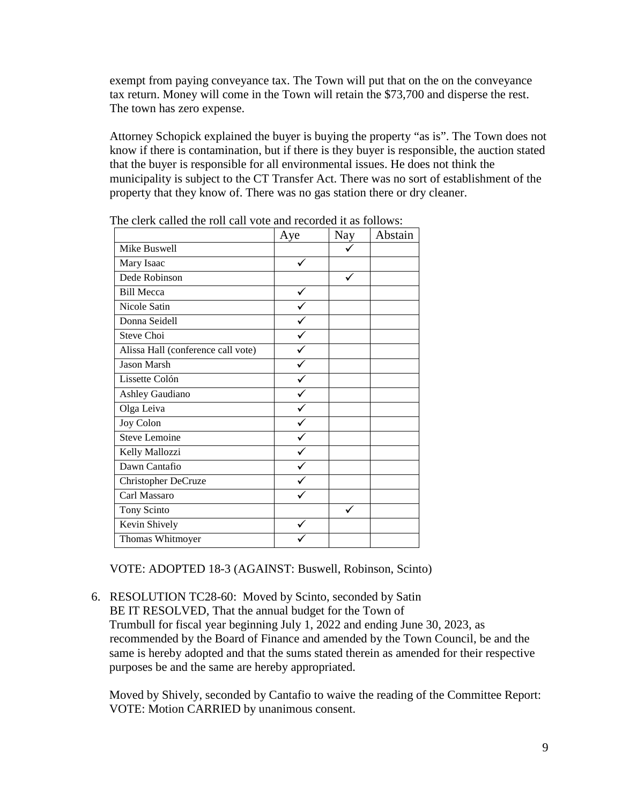exempt from paying conveyance tax. The Town will put that on the on the conveyance tax return. Money will come in the Town will retain the \$73,700 and disperse the rest. The town has zero expense.

Attorney Schopick explained the buyer is buying the property "as is". The Town does not know if there is contamination, but if there is they buyer is responsible, the auction stated that the buyer is responsible for all environmental issues. He does not think the municipality is subject to the CT Transfer Act. There was no sort of establishment of the property that they know of. There was no gas station there or dry cleaner.

|                                    | Aye | <b>Nay</b> | Abstain |
|------------------------------------|-----|------------|---------|
| Mike Buswell                       |     |            |         |
| Mary Isaac                         |     |            |         |
| Dede Robinson                      |     |            |         |
| <b>Bill Mecca</b>                  |     |            |         |
| Nicole Satin                       |     |            |         |
| Donna Seidell                      |     |            |         |
| Steve Choi                         |     |            |         |
| Alissa Hall (conference call vote) |     |            |         |
| Jason Marsh                        |     |            |         |
| Lissette Colón                     |     |            |         |
| Ashley Gaudiano                    |     |            |         |
| Olga Leiva                         |     |            |         |
| Joy Colon                          |     |            |         |
| Steve Lemoine                      |     |            |         |
| Kelly Mallozzi                     |     |            |         |
| Dawn Cantafio                      |     |            |         |
| Christopher DeCruze                |     |            |         |
| Carl Massaro                       |     |            |         |
| Tony Scinto                        |     |            |         |
| Kevin Shively                      |     |            |         |
| Thomas Whitmoyer                   |     |            |         |

The clerk called the roll call vote and recorded it as follows:

VOTE: ADOPTED 18-3 (AGAINST: Buswell, Robinson, Scinto)

6. RESOLUTION TC28-60: Moved by Scinto, seconded by Satin BE IT RESOLVED, That the annual budget for the Town of Trumbull for fiscal year beginning July 1, 2022 and ending June 30, 2023, as recommended by the Board of Finance and amended by the Town Council, be and the same is hereby adopted and that the sums stated therein as amended for their respective purposes be and the same are hereby appropriated.

Moved by Shively, seconded by Cantafio to waive the reading of the Committee Report: VOTE: Motion CARRIED by unanimous consent.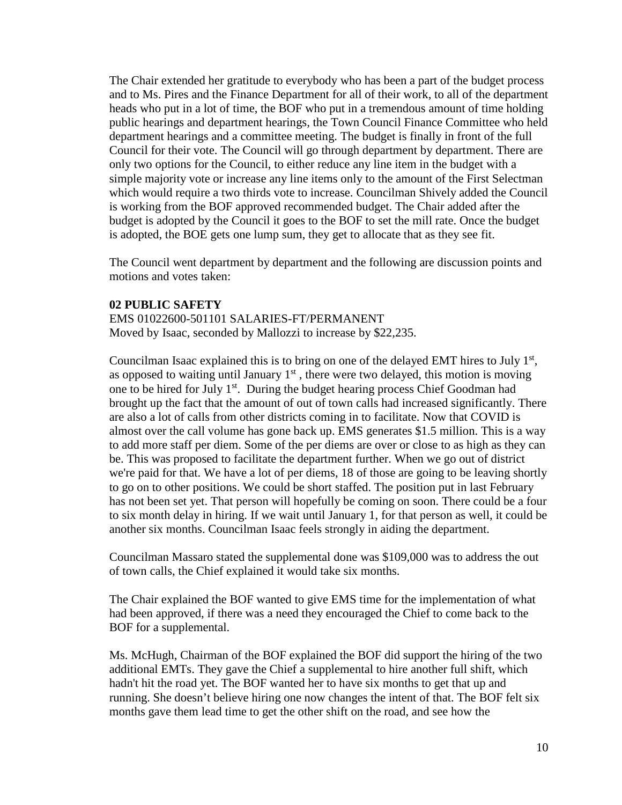The Chair extended her gratitude to everybody who has been a part of the budget process and to Ms. Pires and the Finance Department for all of their work, to all of the department heads who put in a lot of time, the BOF who put in a tremendous amount of time holding public hearings and department hearings, the Town Council Finance Committee who held department hearings and a committee meeting. The budget is finally in front of the full Council for their vote. The Council will go through department by department. There are only two options for the Council, to either reduce any line item in the budget with a simple majority vote or increase any line items only to the amount of the First Selectman which would require a two thirds vote to increase. Councilman Shively added the Council is working from the BOF approved recommended budget. The Chair added after the budget is adopted by the Council it goes to the BOF to set the mill rate. Once the budget is adopted, the BOE gets one lump sum, they get to allocate that as they see fit.

The Council went department by department and the following are discussion points and motions and votes taken:

#### **02 PUBLIC SAFETY**

EMS 01022600-501101 SALARIES-FT/PERMANENT Moved by Isaac, seconded by Mallozzi to increase by \$22,235.

Councilman Isaac explained this is to bring on one of the delayed EMT hires to July  $1<sup>st</sup>$ , as opposed to waiting until January  $1<sup>st</sup>$ , there were two delayed, this motion is moving one to be hired for July 1<sup>st</sup>. During the budget hearing process Chief Goodman had brought up the fact that the amount of out of town calls had increased significantly. There are also a lot of calls from other districts coming in to facilitate. Now that COVID is almost over the call volume has gone back up. EMS generates \$1.5 million. This is a way to add more staff per diem. Some of the per diems are over or close to as high as they can be. This was proposed to facilitate the department further. When we go out of district we're paid for that. We have a lot of per diems, 18 of those are going to be leaving shortly to go on to other positions. We could be short staffed. The position put in last February has not been set yet. That person will hopefully be coming on soon. There could be a four to six month delay in hiring. If we wait until January 1, for that person as well, it could be another six months. Councilman Isaac feels strongly in aiding the department.

Councilman Massaro stated the supplemental done was \$109,000 was to address the out of town calls, the Chief explained it would take six months.

The Chair explained the BOF wanted to give EMS time for the implementation of what had been approved, if there was a need they encouraged the Chief to come back to the BOF for a supplemental.

Ms. McHugh, Chairman of the BOF explained the BOF did support the hiring of the two additional EMTs. They gave the Chief a supplemental to hire another full shift, which hadn't hit the road yet. The BOF wanted her to have six months to get that up and running. She doesn't believe hiring one now changes the intent of that. The BOF felt six months gave them lead time to get the other shift on the road, and see how the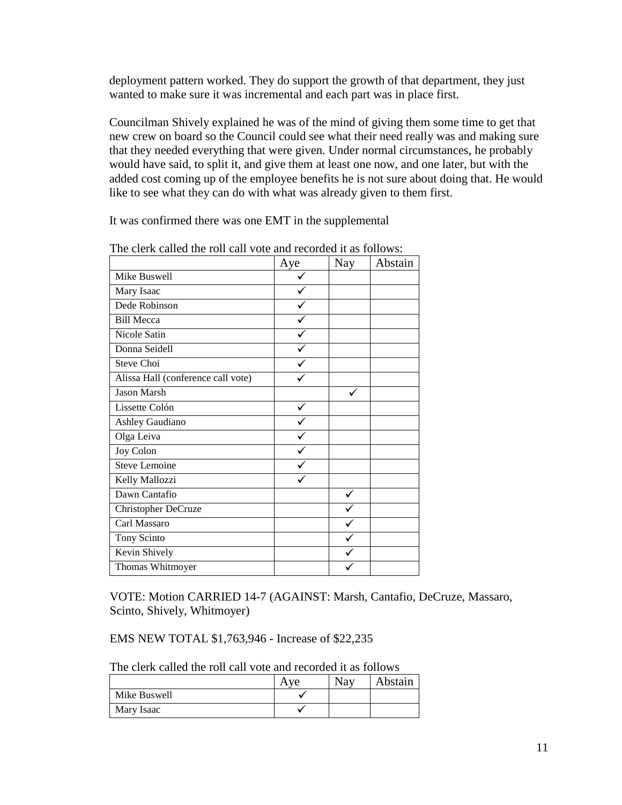deployment pattern worked. They do support the growth of that department, they just wanted to make sure it was incremental and each part was in place first.

Councilman Shively explained he was of the mind of giving them some time to get that new crew on board so the Council could see what their need really was and making sure that they needed everything that were given. Under normal circumstances, he probably would have said, to split it, and give them at least one now, and one later, but with the added cost coming up of the employee benefits he is not sure about doing that. He would like to see what they can do with what was already given to them first.

It was confirmed there was one EMT in the supplemental

|                                    | Aye | <b>Nay</b> | Abstain |
|------------------------------------|-----|------------|---------|
| Mike Buswell                       |     |            |         |
| Mary Isaac                         |     |            |         |
| Dede Robinson                      |     |            |         |
| <b>Bill Mecca</b>                  |     |            |         |
| Nicole Satin                       |     |            |         |
| Donna Seidell                      |     |            |         |
| Steve Choi                         |     |            |         |
| Alissa Hall (conference call vote) |     |            |         |
| <b>Jason Marsh</b>                 |     |            |         |
| Lissette Colón                     |     |            |         |
| Ashley Gaudiano                    |     |            |         |
| Olga Leiva                         |     |            |         |
| Joy Colon                          |     |            |         |
| Steve Lemoine                      |     |            |         |
| Kelly Mallozzi                     |     |            |         |
| Dawn Cantafio                      |     |            |         |
| Christopher DeCruze                |     |            |         |
| Carl Massaro                       |     |            |         |
| Tony Scinto                        |     |            |         |
| Kevin Shively                      |     |            |         |
| Thomas Whitmoyer                   |     |            |         |

The clerk called the roll call vote and recorded it as follows:

VOTE: Motion CARRIED 14-7 (AGAINST: Marsh, Cantafio, DeCruze, Massaro, Scinto, Shively, Whitmoyer)

EMS NEW TOTAL \$1,763,946 - Increase of \$22,235

The clerk called the roll call vote and recorded it as follows

|              | $V\mathbf{A}$ | Nay | Abstain |
|--------------|---------------|-----|---------|
| Mike Buswell |               |     |         |
| Mary Isaac   |               |     |         |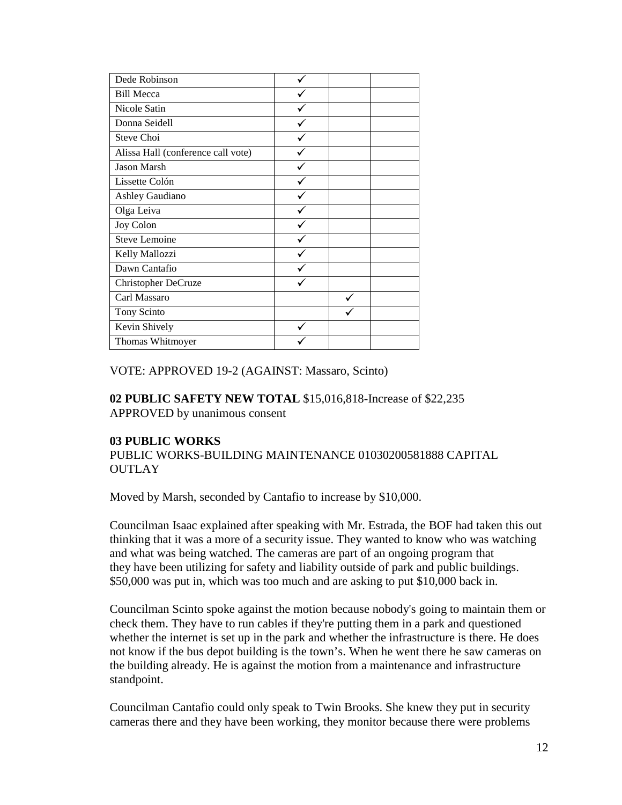| Dede Robinson                      |  |  |
|------------------------------------|--|--|
| <b>Bill Mecca</b>                  |  |  |
| Nicole Satin                       |  |  |
| Donna Seidell                      |  |  |
| Steve Choi                         |  |  |
| Alissa Hall (conference call vote) |  |  |
| Jason Marsh                        |  |  |
| Lissette Colón                     |  |  |
| <b>Ashley Gaudiano</b>             |  |  |
| Olga Leiva                         |  |  |
| Joy Colon                          |  |  |
| Steve Lemoine                      |  |  |
| Kelly Mallozzi                     |  |  |
| Dawn Cantafio                      |  |  |
| <b>Christopher DeCruze</b>         |  |  |
| Carl Massaro                       |  |  |
| Tony Scinto                        |  |  |
| Kevin Shively                      |  |  |
| Thomas Whitmoyer                   |  |  |

VOTE: APPROVED 19-2 (AGAINST: Massaro, Scinto)

#### **02 PUBLIC SAFETY NEW TOTAL** \$15,016,818-Increase of \$22,235 APPROVED by unanimous consent

# **03 PUBLIC WORKS**

PUBLIC WORKS-BUILDING MAINTENANCE 01030200581888 CAPITAL **OUTLAY** 

Moved by Marsh, seconded by Cantafio to increase by \$10,000.

Councilman Isaac explained after speaking with Mr. Estrada, the BOF had taken this out thinking that it was a more of a security issue. They wanted to know who was watching and what was being watched. The cameras are part of an ongoing program that they have been utilizing for safety and liability outside of park and public buildings. \$50,000 was put in, which was too much and are asking to put \$10,000 back in.

Councilman Scinto spoke against the motion because nobody's going to maintain them or check them. They have to run cables if they're putting them in a park and questioned whether the internet is set up in the park and whether the infrastructure is there. He does not know if the bus depot building is the town's. When he went there he saw cameras on the building already. He is against the motion from a maintenance and infrastructure standpoint.

Councilman Cantafio could only speak to Twin Brooks. She knew they put in security cameras there and they have been working, they monitor because there were problems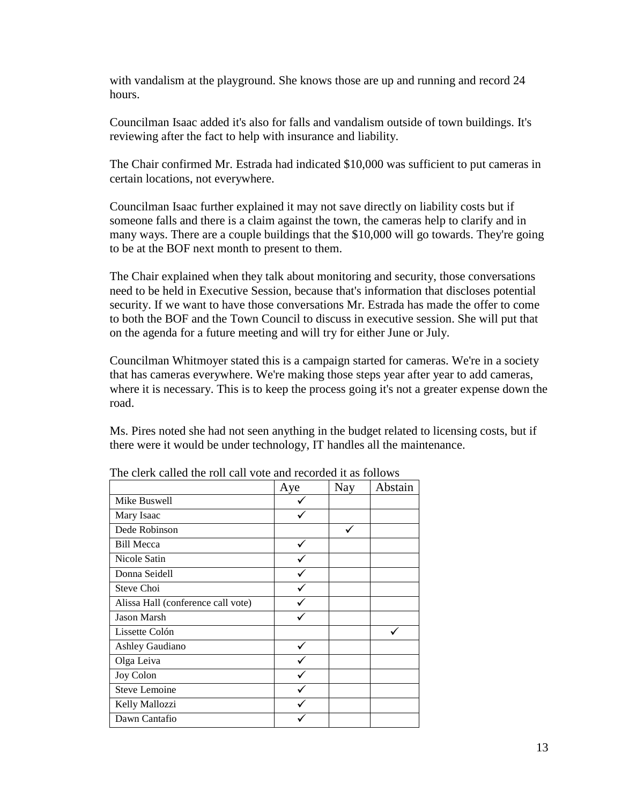with vandalism at the playground. She knows those are up and running and record 24 hours.

Councilman Isaac added it's also for falls and vandalism outside of town buildings. It's reviewing after the fact to help with insurance and liability.

The Chair confirmed Mr. Estrada had indicated \$10,000 was sufficient to put cameras in certain locations, not everywhere.

Councilman Isaac further explained it may not save directly on liability costs but if someone falls and there is a claim against the town, the cameras help to clarify and in many ways. There are a couple buildings that the \$10,000 will go towards. They're going to be at the BOF next month to present to them.

The Chair explained when they talk about monitoring and security, those conversations need to be held in Executive Session, because that's information that discloses potential security. If we want to have those conversations Mr. Estrada has made the offer to come to both the BOF and the Town Council to discuss in executive session. She will put that on the agenda for a future meeting and will try for either June or July.

Councilman Whitmoyer stated this is a campaign started for cameras. We're in a society that has cameras everywhere. We're making those steps year after year to add cameras, where it is necessary. This is to keep the process going it's not a greater expense down the road.

Ms. Pires noted she had not seen anything in the budget related to licensing costs, but if there were it would be under technology, IT handles all the maintenance.

|                                    | Aye | <b>Nay</b> | Abstain |
|------------------------------------|-----|------------|---------|
| Mike Buswell                       |     |            |         |
| Mary Isaac                         |     |            |         |
| Dede Robinson                      |     |            |         |
| <b>Bill Mecca</b>                  |     |            |         |
| Nicole Satin                       |     |            |         |
| Donna Seidell                      |     |            |         |
| Steve Choi                         |     |            |         |
| Alissa Hall (conference call vote) |     |            |         |
| <b>Jason Marsh</b>                 |     |            |         |
| Lissette Colón                     |     |            |         |
| Ashley Gaudiano                    |     |            |         |
| Olga Leiva                         |     |            |         |
| Joy Colon                          |     |            |         |
| <b>Steve Lemoine</b>               |     |            |         |
| Kelly Mallozzi                     |     |            |         |
| Dawn Cantafio                      |     |            |         |

|  |  |  | The clerk called the roll call vote and recorded it as follows |
|--|--|--|----------------------------------------------------------------|
|--|--|--|----------------------------------------------------------------|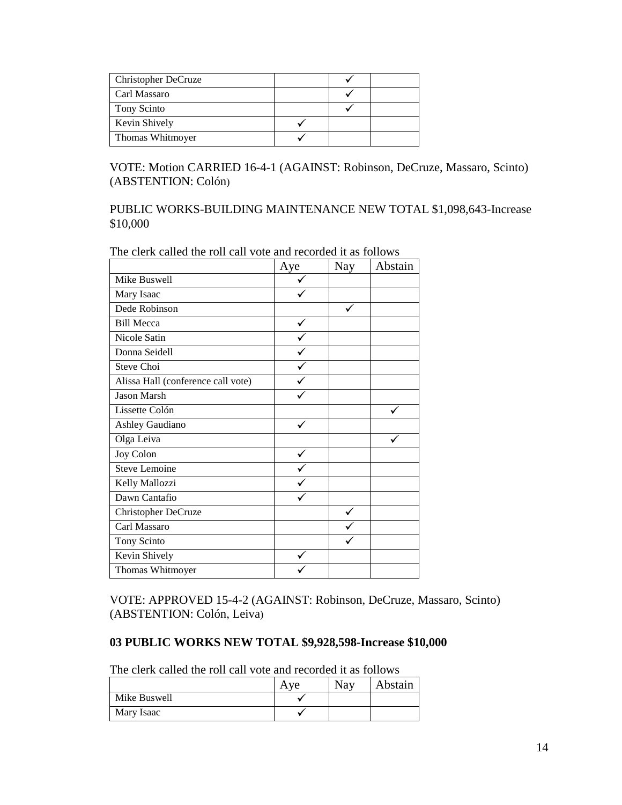| Christopher DeCruze |  |  |
|---------------------|--|--|
| Carl Massaro        |  |  |
| Tony Scinto         |  |  |
| Kevin Shively       |  |  |
| Thomas Whitmoyer    |  |  |

VOTE: Motion CARRIED 16-4-1 (AGAINST: Robinson, DeCruze, Massaro, Scinto) (ABSTENTION: [Colón\)](https://linkprotect.cudasvc.com/url?a=https%3a%2f%2fwww.norwalkps.org%2f526573_3%3fpersonID%3d243177&c=E,1,3K4q4WWTM6J_TEDSOg21JlDvlc8lQ_o8VilDGTakN86iHFJCB0p2WhOizanForr3Qp66AKFNDW09ibwhNon-rCTl7K_M-47SQbsdbEryFAGIgPaiCwXGfN9vDHRP&typo=1)

PUBLIC WORKS-BUILDING MAINTENANCE NEW TOTAL \$1,098,643-Increase \$10,000

|                                    | Aye | <b>Nay</b> | Abstain |
|------------------------------------|-----|------------|---------|
| Mike Buswell                       |     |            |         |
| Mary Isaac                         |     |            |         |
| Dede Robinson                      |     |            |         |
| <b>Bill Mecca</b>                  |     |            |         |
| Nicole Satin                       |     |            |         |
| Donna Seidell                      |     |            |         |
| Steve Choi                         |     |            |         |
| Alissa Hall (conference call vote) |     |            |         |
| <b>Jason Marsh</b>                 |     |            |         |
| Lissette Colón                     |     |            |         |
| Ashley Gaudiano                    |     |            |         |
| Olga Leiva                         |     |            |         |
| Joy Colon                          |     |            |         |
| Steve Lemoine                      |     |            |         |
| Kelly Mallozzi                     |     |            |         |
| Dawn Cantafio                      |     |            |         |
| Christopher DeCruze                |     |            |         |
| Carl Massaro                       |     |            |         |
| Tony Scinto                        |     |            |         |
| Kevin Shively                      |     |            |         |
| Thomas Whitmoyer                   |     |            |         |

The clerk called the roll call vote and recorded it as follows

VOTE: APPROVED 15-4-2 (AGAINST: Robinson, DeCruze, Massaro, Scinto) (ABSTENTION: [Colón,](https://linkprotect.cudasvc.com/url?a=https%3a%2f%2fwww.norwalkps.org%2f526573_3%3fpersonID%3d243177&c=E,1,3K4q4WWTM6J_TEDSOg21JlDvlc8lQ_o8VilDGTakN86iHFJCB0p2WhOizanForr3Qp66AKFNDW09ibwhNon-rCTl7K_M-47SQbsdbEryFAGIgPaiCwXGfN9vDHRP&typo=1) Leiva)

## **03 PUBLIC WORKS NEW TOTAL \$9,928,598-Increase \$10,000**

The clerk called the roll call vote and recorded it as follows

|              | $V\rightarrow$ | Nay | Abstain |
|--------------|----------------|-----|---------|
| Mike Buswell |                |     |         |
| Mary Isaac   |                |     |         |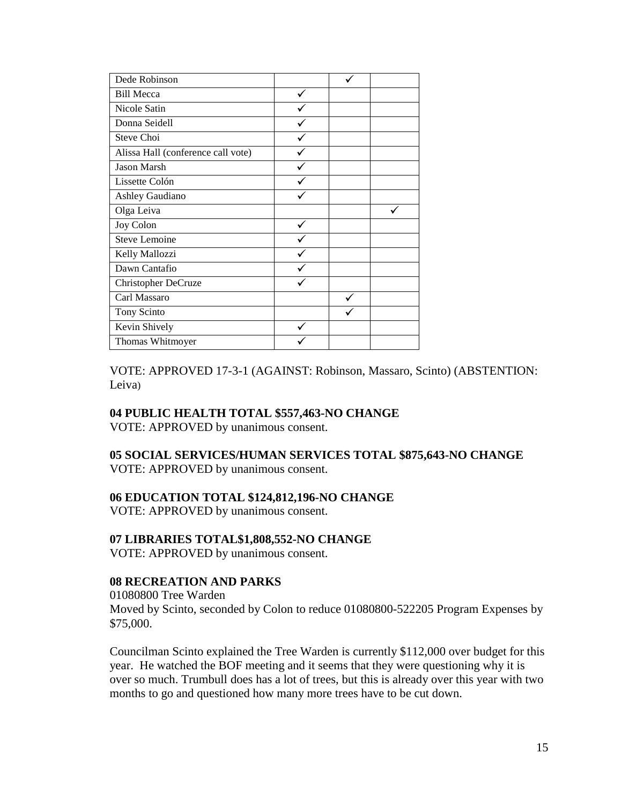| Dede Robinson                      |  |  |
|------------------------------------|--|--|
| <b>Bill Mecca</b>                  |  |  |
| Nicole Satin                       |  |  |
| Donna Seidell                      |  |  |
| Steve Choi                         |  |  |
| Alissa Hall (conference call vote) |  |  |
| Jason Marsh                        |  |  |
| Lissette Colón                     |  |  |
| Ashley Gaudiano                    |  |  |
| Olga Leiva                         |  |  |
| Joy Colon                          |  |  |
| Steve Lemoine                      |  |  |
| Kelly Mallozzi                     |  |  |
| Dawn Cantafio                      |  |  |
| <b>Christopher DeCruze</b>         |  |  |
| Carl Massaro                       |  |  |
| Tony Scinto                        |  |  |
| Kevin Shively                      |  |  |
| Thomas Whitmoyer                   |  |  |

VOTE: APPROVED 17-3-1 (AGAINST: Robinson, Massaro, Scinto) (ABSTENTION: Leiva)

#### **04 PUBLIC HEALTH TOTAL \$557,463-NO CHANGE**

VOTE: APPROVED by unanimous consent.

# **05 SOCIAL SERVICES/HUMAN SERVICES TOTAL \$875,643-NO CHANGE**

VOTE: APPROVED by unanimous consent.

#### **06 EDUCATION TOTAL \$124,812,196-NO CHANGE**

VOTE: APPROVED by unanimous consent.

#### **07 LIBRARIES TOTAL\$1,808,552-NO CHANGE**

VOTE: APPROVED by unanimous consent.

#### **08 RECREATION AND PARKS**

01080800 Tree Warden Moved by Scinto, seconded by Colon to reduce 01080800-522205 Program Expenses by \$75,000.

Councilman Scinto explained the Tree Warden is currently \$112,000 over budget for this year. He watched the BOF meeting and it seems that they were questioning why it is over so much. Trumbull does has a lot of trees, but this is already over this year with two months to go and questioned how many more trees have to be cut down.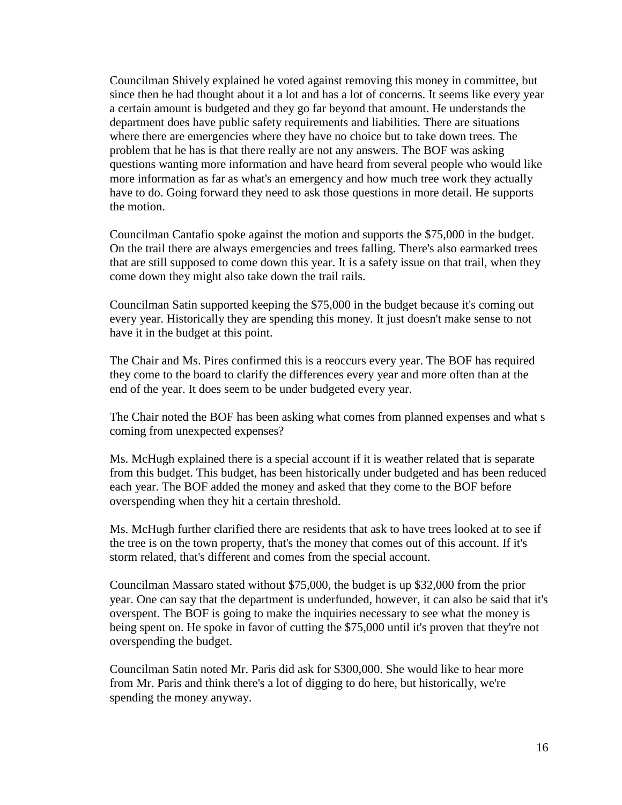Councilman Shively explained he voted against removing this money in committee, but since then he had thought about it a lot and has a lot of concerns. It seems like every year a certain amount is budgeted and they go far beyond that amount. He understands the department does have public safety requirements and liabilities. There are situations where there are emergencies where they have no choice but to take down trees. The problem that he has is that there really are not any answers. The BOF was asking questions wanting more information and have heard from several people who would like more information as far as what's an emergency and how much tree work they actually have to do. Going forward they need to ask those questions in more detail. He supports the motion.

Councilman Cantafio spoke against the motion and supports the \$75,000 in the budget. On the trail there are always emergencies and trees falling. There's also earmarked trees that are still supposed to come down this year. It is a safety issue on that trail, when they come down they might also take down the trail rails.

Councilman Satin supported keeping the \$75,000 in the budget because it's coming out every year. Historically they are spending this money. It just doesn't make sense to not have it in the budget at this point.

The Chair and Ms. Pires confirmed this is a reoccurs every year. The BOF has required they come to the board to clarify the differences every year and more often than at the end of the year. It does seem to be under budgeted every year.

The Chair noted the BOF has been asking what comes from planned expenses and what s coming from unexpected expenses?

Ms. McHugh explained there is a special account if it is weather related that is separate from this budget. This budget, has been historically under budgeted and has been reduced each year. The BOF added the money and asked that they come to the BOF before overspending when they hit a certain threshold.

Ms. McHugh further clarified there are residents that ask to have trees looked at to see if the tree is on the town property, that's the money that comes out of this account. If it's storm related, that's different and comes from the special account.

Councilman Massaro stated without \$75,000, the budget is up \$32,000 from the prior year. One can say that the department is underfunded, however, it can also be said that it's overspent. The BOF is going to make the inquiries necessary to see what the money is being spent on. He spoke in favor of cutting the \$75,000 until it's proven that they're not overspending the budget.

Councilman Satin noted Mr. Paris did ask for \$300,000. She would like to hear more from Mr. Paris and think there's a lot of digging to do here, but historically, we're spending the money anyway.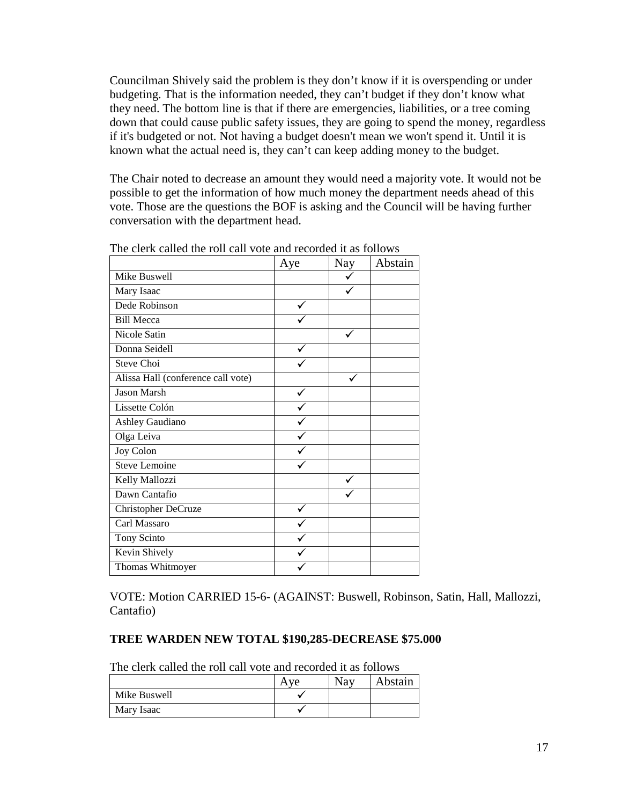Councilman Shively said the problem is they don't know if it is overspending or under budgeting. That is the information needed, they can't budget if they don't know what they need. The bottom line is that if there are emergencies, liabilities, or a tree coming down that could cause public safety issues, they are going to spend the money, regardless if it's budgeted or not. Not having a budget doesn't mean we won't spend it. Until it is known what the actual need is, they can't can keep adding money to the budget.

The Chair noted to decrease an amount they would need a majority vote. It would not be possible to get the information of how much money the department needs ahead of this vote. Those are the questions the BOF is asking and the Council will be having further conversation with the department head.

|                                    | Aye | Nay | Abstain |
|------------------------------------|-----|-----|---------|
| Mike Buswell                       |     |     |         |
| Mary Isaac                         |     |     |         |
| Dede Robinson                      |     |     |         |
| <b>Bill Mecca</b>                  |     |     |         |
| Nicole Satin                       |     |     |         |
| Donna Seidell                      |     |     |         |
| Steve Choi                         |     |     |         |
| Alissa Hall (conference call vote) |     |     |         |
| Jason Marsh                        |     |     |         |
| Lissette Colón                     |     |     |         |
| Ashley Gaudiano                    |     |     |         |
| Olga Leiva                         |     |     |         |
| Joy Colon                          |     |     |         |
| <b>Steve Lemoine</b>               |     |     |         |
| Kelly Mallozzi                     |     |     |         |
| Dawn Cantafio                      |     |     |         |
| Christopher DeCruze                |     |     |         |
| Carl Massaro                       |     |     |         |
| Tony Scinto                        |     |     |         |
| Kevin Shively                      |     |     |         |
| Thomas Whitmoyer                   |     |     |         |

The clerk called the roll call vote and recorded it as follows

VOTE: Motion CARRIED 15-6- (AGAINST: Buswell, Robinson, Satin, Hall, Mallozzi, Cantafio)

#### **TREE WARDEN NEW TOTAL \$190,285-DECREASE \$75.000**

The clerk called the roll call vote and recorded it as follows

|              | $V\rightarrow$ | <b>Nay</b> | Abstain |
|--------------|----------------|------------|---------|
| Mike Buswell |                |            |         |
| Mary Isaac   |                |            |         |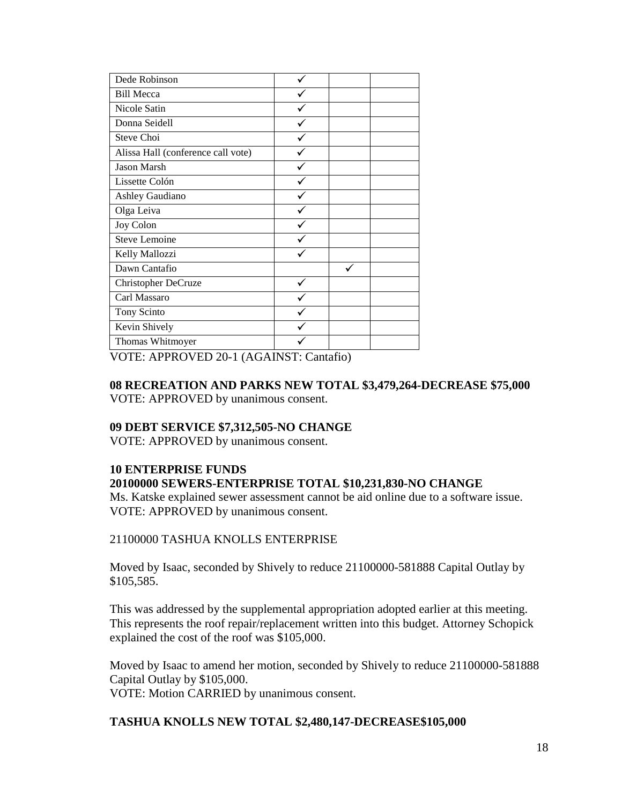| Dede Robinson                      |  |  |
|------------------------------------|--|--|
| <b>Bill Mecca</b>                  |  |  |
| Nicole Satin                       |  |  |
| Donna Seidell                      |  |  |
| Steve Choi                         |  |  |
| Alissa Hall (conference call vote) |  |  |
| <b>Jason Marsh</b>                 |  |  |
| Lissette Colón                     |  |  |
| <b>Ashley Gaudiano</b>             |  |  |
| Olga Leiva                         |  |  |
| Joy Colon                          |  |  |
| Steve Lemoine                      |  |  |
| Kelly Mallozzi                     |  |  |
| Dawn Cantafio                      |  |  |
| Christopher DeCruze                |  |  |
| Carl Massaro                       |  |  |
| Tony Scinto                        |  |  |
| Kevin Shively                      |  |  |
| Thomas Whitmoyer                   |  |  |

VOTE: APPROVED 20-1 (AGAINST: Cantafio)

## **08 RECREATION AND PARKS NEW TOTAL \$3,479,264-DECREASE \$75,000** VOTE: APPROVED by unanimous consent.

#### **09 DEBT SERVICE \$7,312,505-NO CHANGE**

VOTE: APPROVED by unanimous consent.

#### **10 ENTERPRISE FUNDS 20100000 SEWERS-ENTERPRISE TOTAL \$10,231,830-NO CHANGE**

Ms. Katske explained sewer assessment cannot be aid online due to a software issue. VOTE: APPROVED by unanimous consent.

#### 21100000 TASHUA KNOLLS ENTERPRISE

Moved by Isaac, seconded by Shively to reduce 21100000-581888 Capital Outlay by \$105,585.

This was addressed by the supplemental appropriation adopted earlier at this meeting. This represents the roof repair/replacement written into this budget. Attorney Schopick explained the cost of the roof was \$105,000.

Moved by Isaac to amend her motion, seconded by Shively to reduce 21100000-581888 Capital Outlay by \$105,000. VOTE: Motion CARRIED by unanimous consent.

# **TASHUA KNOLLS NEW TOTAL \$2,480,147-DECREASE\$105,000**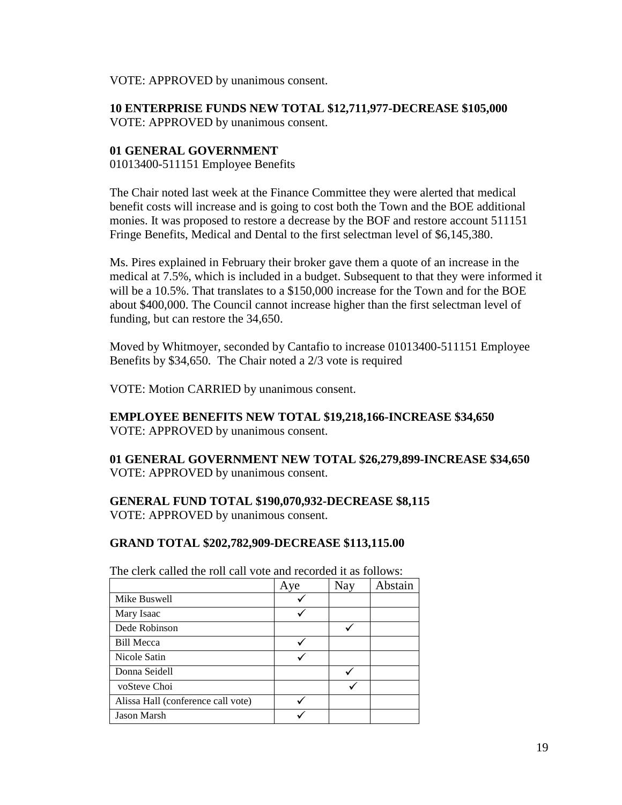VOTE: APPROVED by unanimous consent.

**10 ENTERPRISE FUNDS NEW TOTAL \$12,711,977-DECREASE \$105,000** VOTE: APPROVED by unanimous consent.

## **01 GENERAL GOVERNMENT**

01013400-511151 Employee Benefits

The Chair noted last week at the Finance Committee they were alerted that medical benefit costs will increase and is going to cost both the Town and the BOE additional monies. It was proposed to restore a decrease by the BOF and restore account 511151 Fringe Benefits, Medical and Dental to the first selectman level of \$6,145,380.

Ms. Pires explained in February their broker gave them a quote of an increase in the medical at 7.5%, which is included in a budget. Subsequent to that they were informed it will be a 10.5%. That translates to a \$150,000 increase for the Town and for the BOE about \$400,000. The Council cannot increase higher than the first selectman level of funding, but can restore the 34,650.

Moved by Whitmoyer, seconded by Cantafio to increase 01013400-511151 Employee Benefits by \$34,650. The Chair noted a 2/3 vote is required

VOTE: Motion CARRIED by unanimous consent.

**EMPLOYEE BENEFITS NEW TOTAL \$19,218,166-INCREASE \$34,650** VOTE: APPROVED by unanimous consent.

**01 GENERAL GOVERNMENT NEW TOTAL \$26,279,899-INCREASE \$34,650** VOTE: APPROVED by unanimous consent.

# **GENERAL FUND TOTAL \$190,070,932-DECREASE \$8,115**

VOTE: APPROVED by unanimous consent.

#### **GRAND TOTAL \$202,782,909-DECREASE \$113,115.00**

|                                    | Aye | <b>Nay</b> | Abstain |
|------------------------------------|-----|------------|---------|
| Mike Buswell                       |     |            |         |
| Mary Isaac                         |     |            |         |
| Dede Robinson                      |     |            |         |
| <b>Bill Mecca</b>                  |     |            |         |
| Nicole Satin                       |     |            |         |
| Donna Seidell                      |     |            |         |
| voSteve Choi                       |     |            |         |
| Alissa Hall (conference call vote) |     |            |         |
| Jason Marsh                        |     |            |         |

The clerk called the roll call vote and recorded it as follows: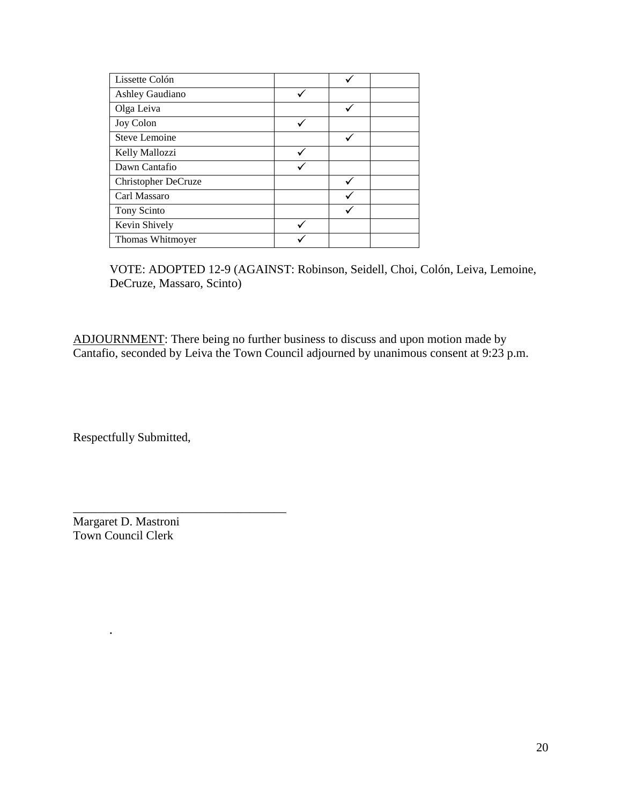| Lissette Colón       |  |  |
|----------------------|--|--|
| Ashley Gaudiano      |  |  |
| Olga Leiva           |  |  |
| Joy Colon            |  |  |
| <b>Steve Lemoine</b> |  |  |
| Kelly Mallozzi       |  |  |
| Dawn Cantafio        |  |  |
| Christopher DeCruze  |  |  |
| Carl Massaro         |  |  |
| Tony Scinto          |  |  |
| Kevin Shively        |  |  |
| Thomas Whitmoyer     |  |  |

VOTE: ADOPTED 12-9 (AGAINST: Robinson, Seidell, Choi, [Colón,](https://linkprotect.cudasvc.com/url?a=https%3a%2f%2fwww.norwalkps.org%2f526573_3%3fpersonID%3d243177&c=E,1,3K4q4WWTM6J_TEDSOg21JlDvlc8lQ_o8VilDGTakN86iHFJCB0p2WhOizanForr3Qp66AKFNDW09ibwhNon-rCTl7K_M-47SQbsdbEryFAGIgPaiCwXGfN9vDHRP&typo=1) Leiva, Lemoine, DeCruze, Massaro, Scinto)

ADJOURNMENT: There being no further business to discuss and upon motion made by Cantafio, seconded by Leiva the Town Council adjourned by unanimous consent at 9:23 p.m.

Respectfully Submitted,

Margaret D. Mastroni Town Council Clerk

**.**

\_\_\_\_\_\_\_\_\_\_\_\_\_\_\_\_\_\_\_\_\_\_\_\_\_\_\_\_\_\_\_\_\_\_\_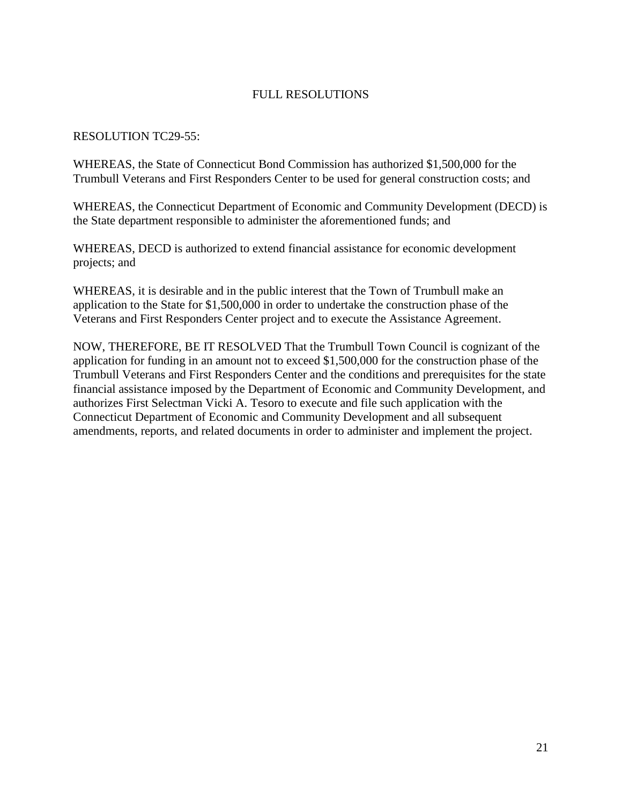# FULL RESOLUTIONS

#### RESOLUTION TC29-55:

WHEREAS, the State of Connecticut Bond Commission has authorized \$1,500,000 for the Trumbull Veterans and First Responders Center to be used for general construction costs; and

WHEREAS, the Connecticut Department of Economic and Community Development (DECD) is the State department responsible to administer the aforementioned funds; and

WHEREAS, DECD is authorized to extend financial assistance for economic development projects; and

WHEREAS, it is desirable and in the public interest that the Town of Trumbull make an application to the State for \$1,500,000 in order to undertake the construction phase of the Veterans and First Responders Center project and to execute the Assistance Agreement.

NOW, THEREFORE, BE IT RESOLVED That the Trumbull Town Council is cognizant of the application for funding in an amount not to exceed \$1,500,000 for the construction phase of the Trumbull Veterans and First Responders Center and the conditions and prerequisites for the state financial assistance imposed by the Department of Economic and Community Development, and authorizes First Selectman Vicki A. Tesoro to execute and file such application with the Connecticut Department of Economic and Community Development and all subsequent amendments, reports, and related documents in order to administer and implement the project.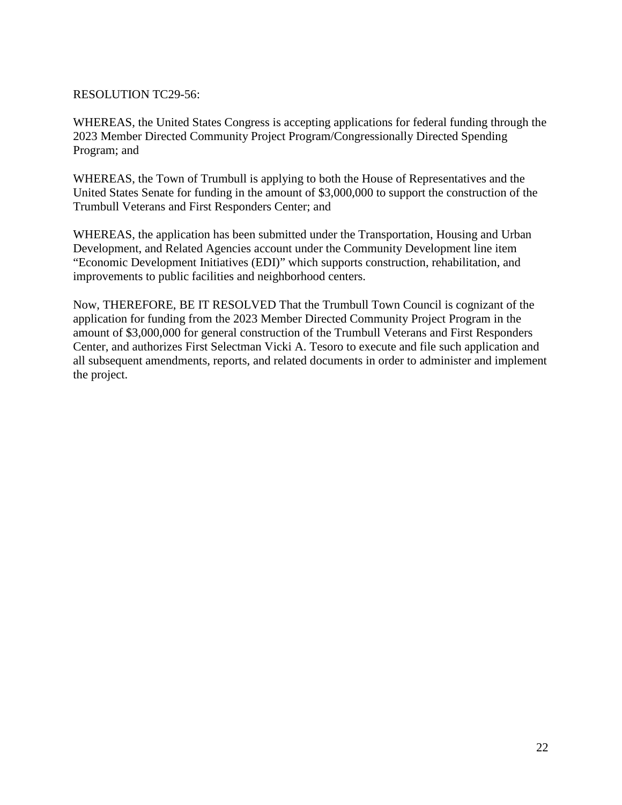## RESOLUTION TC29-56:

WHEREAS, the United States Congress is accepting applications for federal funding through the 2023 Member Directed Community Project Program/Congressionally Directed Spending Program; and

WHEREAS, the Town of Trumbull is applying to both the House of Representatives and the United States Senate for funding in the amount of \$3,000,000 to support the construction of the Trumbull Veterans and First Responders Center; and

WHEREAS, the application has been submitted under the Transportation, Housing and Urban Development, and Related Agencies account under the Community Development line item "Economic Development Initiatives (EDI)" which supports construction, rehabilitation, and improvements to public facilities and neighborhood centers.

Now, THEREFORE, BE IT RESOLVED That the Trumbull Town Council is cognizant of the application for funding from the 2023 Member Directed Community Project Program in the amount of \$3,000,000 for general construction of the Trumbull Veterans and First Responders Center, and authorizes First Selectman Vicki A. Tesoro to execute and file such application and all subsequent amendments, reports, and related documents in order to administer and implement the project.